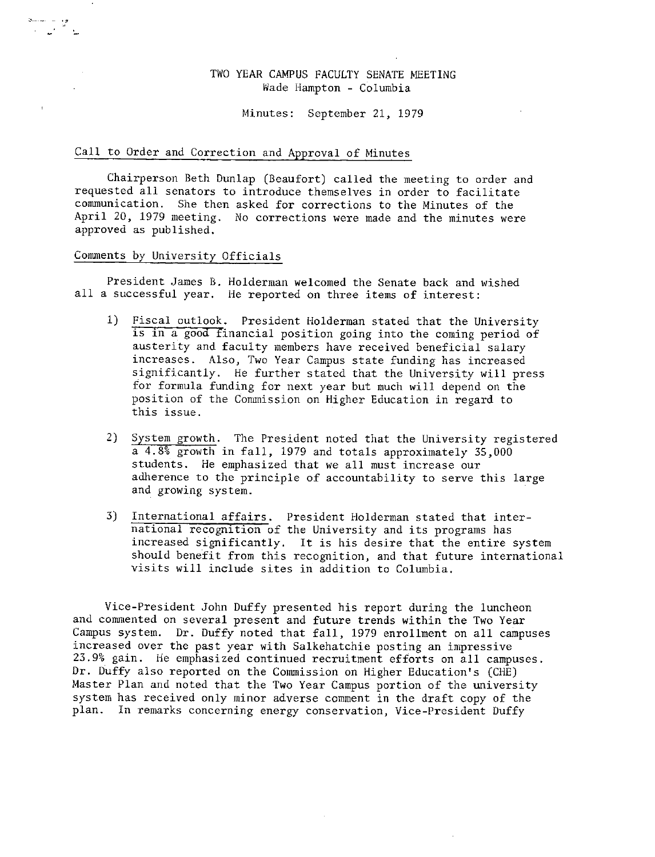# TWO YEAR CAMPUS FACULTY SENATE MEETING Wade Hampton - Columbia

Minutes: September 21, 1979

#### Call to Order and Correction and Approval of Minutes

Chairperson Beth Dunlap (Beaufort) called the meeting to order and requested all senators to introduce themselves in order to facilitate communication. She then asked for corrections to the Minutes of the April 20, 1979 meeting. No corrections were made and the minutes were approved as published.

# Comments by University Officials

.\_

و، پاڪستان<br>آبادي پا

President James B. Holderman welcomed the Senate back and wished all a successful year. He reported on three items of interest:

- 1) Fiscal outlook. President Holderman stated that the University is in a good financial position going into the coming period of austerity and faculty members have received beneficial salary increases. Also, Two Year Campus state funding has increased significantly. He further stated that the University will press for formula funding for next year but much will depend on the position of the Commission on Higher Education in regard to this issue.
- 2) System growth. The President noted that the University registered a 4.8% growth in fall, 1979 and totals approximately 35,000 students. He emphasized that we all must increase our adherence to the principle of accountability to serve this large and growing system.
- 3) International affairs. President Holderman stated that international recognition of the University and its programs has increased significantly. It is his desire that the entire system should benefit from this recognition, and that future international visits will include sites in addition to Columbia.

Vice-President John Duffy presented his report during the luncheon and commented on several present and future trends within the Two Year Campus system. Dr. Duffy noted that fall, 1979 enrollment on all campuses increased over the past year with Salkehatchie posting an impressive 23.9% gain. He emphasized continued recruitment efforts on all campuses. Dr. Duffy also reported on the Commission on Higher Education's (CHE) Master Plan and noted that the Two Year Campus portion of the university system has received only minor adverse comment in the draft copy of the plan. In remarks concerning energy conservation, Vice-President Duffy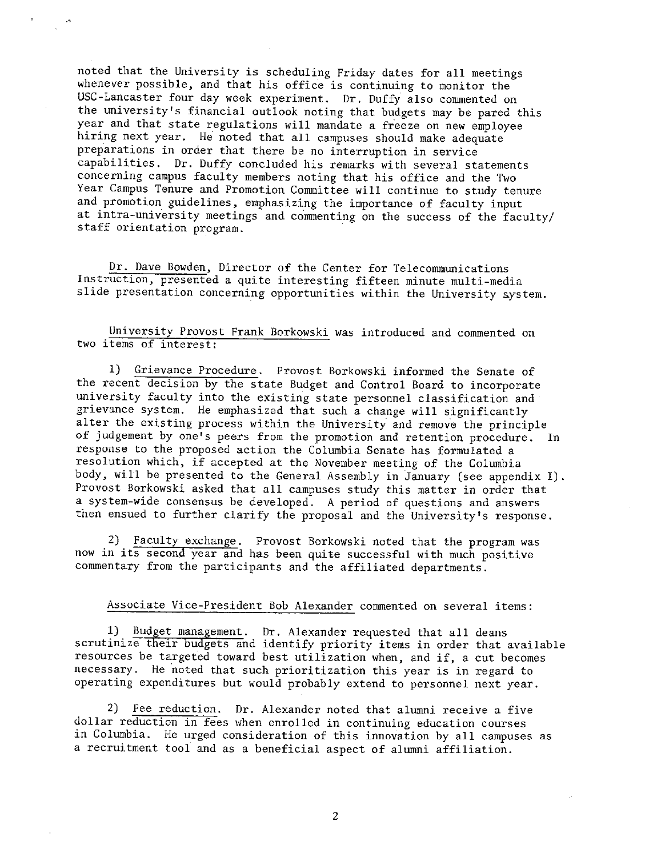noted that the University is scheduling Friday dates for all meetings whenever possible, and that his office is continuing to monitor the USC-Lancaster four day week experiment. Dr. Duffy also commented on the university's financial outlook noting that budgets may be pared this year and that state regulations will mandate a freeze on new employee hiring next year. He noted that all campuses should make adequate preparations in order that there be no interruption in service capabilities. Dr. Duffy concluded his remarks with several statements concerning campus faculty members noting that his office and the Two Year Campus Tenure and Promotion Committee will continue to study tenure and promotion guidelines, emphasizing the importance of faculty input at intra-university meetings and commenting on the success of the faculty/ staff orientation program.

Dr. Dave Bowden, Director of the Center for Telecommunications Instruction, presented a quite interesting fifteen minute multi-media slide presentation concerning opportunities within the University system.

University Provost Frank Borkowski was introduced and commented on two items of interest:

1) Grievance Procedure. Provost Borkowski informed the Senate of the recent decision by the state Budget and Control Board to incorporate university faculty into the existing state personnel classification and grievance system. He emphasized that such a change will significantly alter the existing process within the University and remove the principle of judgement by one's peers from the promotion and retention procedure. In response to the proposed action the Columbia Senate has formulated a resolution which, if accepted at the November meeting of the Columbia body, will be presented to the General Assembly in January (see appendix I). Provost Borkowski asked that all campuses study this matter in order that a system-wide consensus be developed. A period of questions and answers then ensued to further clarify the proposal and the University's response.

2) Faculty exchange. Provost Borkowski noted that the program was now in its second year and has been quite successful with much positive commentary from the participants and the affiliated departments.

### Associate Vice-President Bob Alexander commented on several items:

1) Budget management. Dr. Alexander requested that all deans scrutinize their budgets and identify priority items in order that available resources be targeted toward best utilization when, and if, a cut becomes necessary. He noted that such prioritization this year is in regard to operating expenditures but would probably extend to personnel next year.

2) Fee reduction. Dr. Alexander noted that alumni receive a five dollar reduction in fees when enrolled in continuing education courses in Columbia. He urged consideration of this innovation by all campuses as a recruitment tool and as a beneficial aspect of alumni affiliation.

2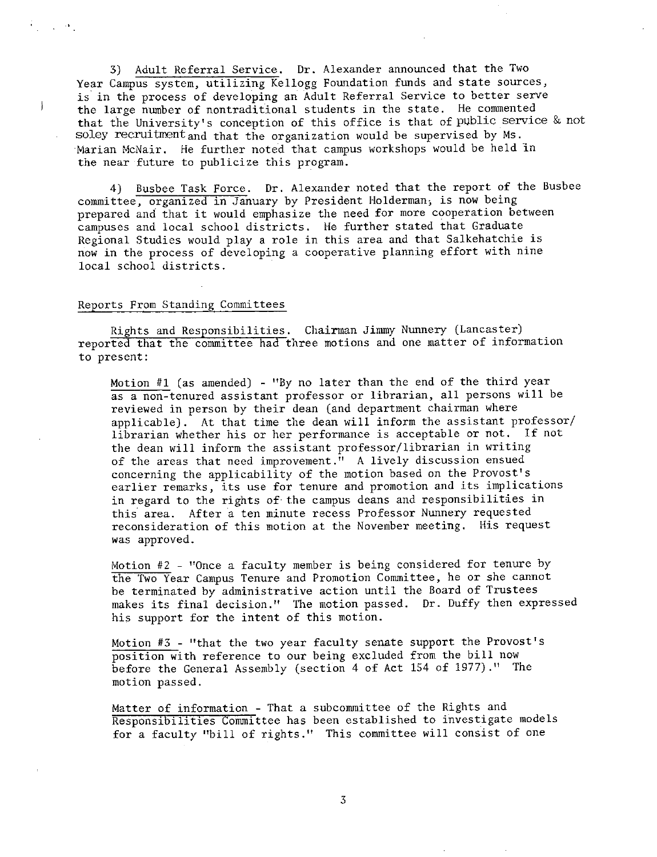3) Adult Referral Service. Dr. Alexander announced that the Two Year Campus system, utilizing Kellogg Foundation funds and state sources, is in the process of developing an Adult Referral Service to better serve the large number of nontraditional students in the state. He commented that the University's conception of this office is that of public service & not soley recruitment and that the organization would be supervised by Ms. ·Marian McNair. He further noted that campus workshops would be held in the near future to publicize this program.

4) Busbee Task Force. Dr. Alexander noted that the report of the Busbee committee, organized in January by President Holderman; is now being prepared and that it would emphasize the need for more cooperation between campuses and local school districts. He further stated that Graduate Regional Studies would play a role in this area and that Salkehatchie is now in the process of developing a cooperative planning effort with nine local school districts.

### Reports From Standing Committees

 $\mathcal{F}_{\mathcal{A}}$  , and  $\mathcal{F}_{\mathcal{A}}$ 

 $\mathbf{I}$ 

Rights and Responsibilities. Chairman Jimmy Nunnery (Lancaster) reported that the committee had three motions and one matter of information to present:

Motion #1 (as amended) - "By no later than the end of the third year as a non-tenured assistant professor or librarian, all persons will be reviewed in person by their dean (and department chairman where applicable). At that time the dean will inform the assistant professor/ librarian whether his or her performance is acceptable or not. If not the dean will inform the assistant professor/librarian in writing of the areas that need improvement." A lively discussion ensued concerning the applicability of the motion based on the Provost's earlier remarks, its use for tenure and promotion and its implications in regard to the rights of· the campus deans and responsibilities in this area. After a ten minute recess Professor Nunnery requested reconsideration of this motion at the November meeting. His request was approved.

Motion #2 - "Once a faculty member is being considered for tenure by the Two Year Campus Tenure and Promotion Committee, he or she cannot be terminated by administrative action until the Board of Trustees makes its final decision." The motion passed. Dr. Duffy then expressed his support for the intent of this motion.

Motion #3 - "that the two year faculty senate support the Provost's position with reference to our being excluded from the bill now before the General Assembly (section 4 of Act 154 of 1977)." The motion passed.

Matter of information - That a subcommittee of the Rights and Responsibilities Committee has been established to investigate models for a faculty "bill of rights." This committee will consist of one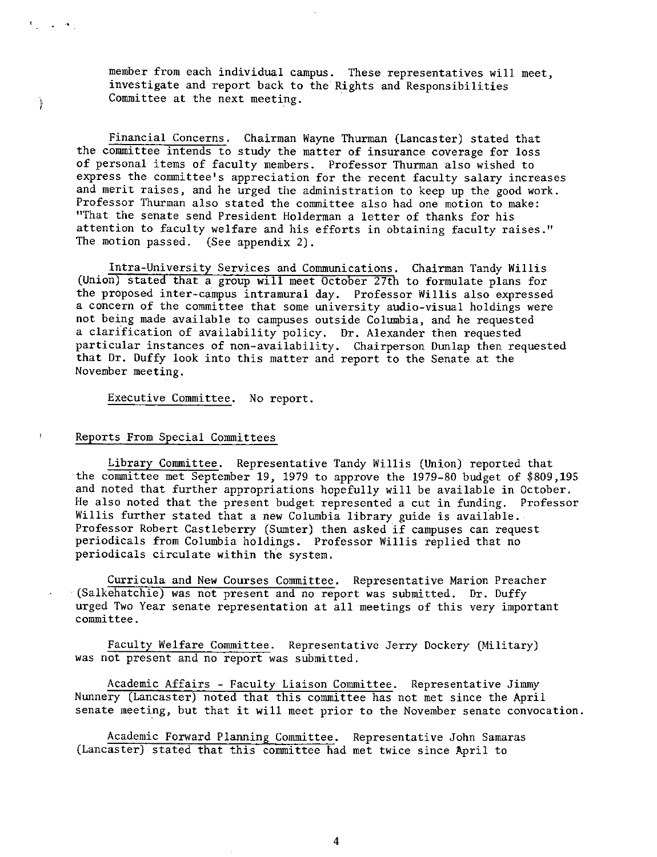member from each individual campus. These representatives will meet, investigate and report back to the Rights and Responsibilities Committee at the next meeting.

Financial Concerns. Chairman Wayne Thurman (Lancaster) stated that the committee intends to study the matter of insurance coverage for loss of personal items of faculty members. Professor Thurman also wished to express the committee's appreciation for the recent faculty salary increases and merit raises, and he urged the administration to keep up the good work. Professor Thurman also stated the committee also had one motion to make: "That the senate send President Holderman a letter of thanks for his attention to faculty welfare and his efforts in obtaining faculty raises." The motion passed. (See appendix 2).

Intra-University Services and Communications. Chairman Tandy Willis (Union) stated that a group will meet October 27th to formulate plans for the proposed inter-campus intramural day. Professor Willis also expressed a concern of the committee that some university audio-visual holdings were not being made available to campuses outside Columbia, and he requested a clarification of availability policy. Dr. Alexander then requested particular instances of non-availability. Chairperson Dunlap then requested that Dr. Duffy look into this matter and report to the Senate at the November meeting.

Executive Committee. No report.

#### Reports From Special Committees

 $\mathbb{F}_{\mathcal{A}}$  and  $\mathbb{F}_{\mathcal{A}}$ 

Ì

Library Committee. Representative Tandy Willis (Union) reported that the committee met September 19, 1979 to approve the 1979-80 budget of \$809,195 and noted that further appropriations hopefully will be available in October. He also noted that the present budget represented a cut in funding. Professor Willis further stated that a new Columbia library guide is available. Professor Robert Castleberry (Sumter) then asked if campuses can request periodicals from Columbia holdings. Professor Willis replied that no periodicals circulate within the system.

Curricula and New Courses Committee. Representative Marion Preacher (Salkehatchie) was not present and no report was submitted. Dr. Duffy urged Two Year senate representation at all meetings of this very important committee.

Faculty Welfare Committee. Representative Jerry Dockery (Military) was not present and no report was submitted.

Academic Affairs - Faculty Liaison Committee. Representative Jimmy Nunnery (Lancaster) noted that this committee has not met since the April senate meeting, but that it will meet prior to the November senate convocation.

Academic Forward Planning Committee. Representative John Samaras (Lancaster) stated that this committee had met twice since April to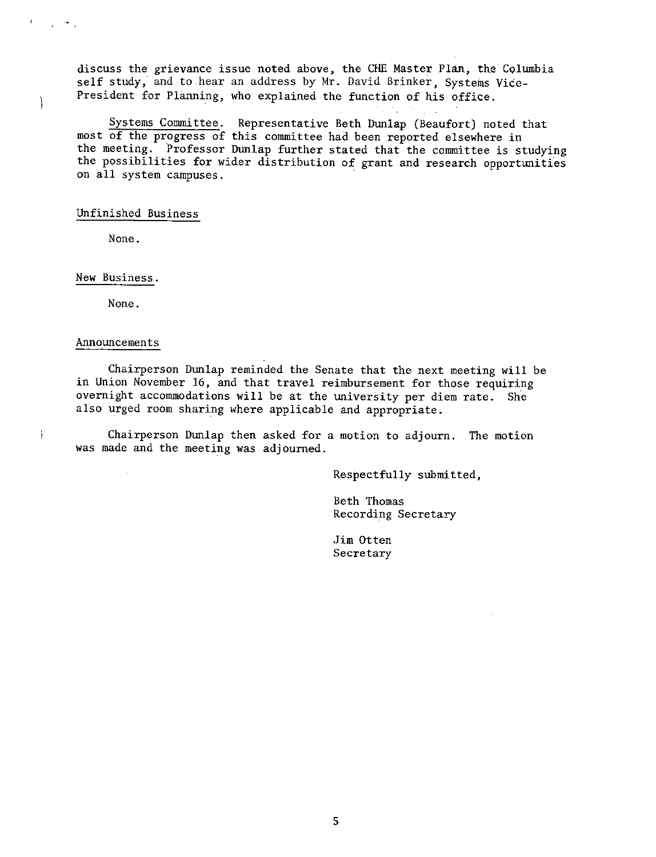discuss the grievance issue noted above, the CHE Master Plan, the Columbia self study, and to hear an address by Mr. David Brinker, Systems Vice-President for Planning, who explained the function of his office.

Systems Committee. Representative Beth Dunlap (Beaufort) noted that most of the progress of this committee had been reported elsewhere in the meeting. Professor Dunlap further stated that the committee is studying the possibilities for wider distribution of grant and research opportunities on all system campuses.

#### Unfinished Business

None.

 $\omega$  and  $\omega$ 

Ì

 $\Big\}$ 

New Business.

None.

#### Announcements

Chairperson Dunlap reminded the Senate that the next meeting will be in Union November 16, and that travel reimbursement for those requiring overnight accommodations will be at the university per diem rate. She also urged room sharing where applicable and appropriate.

Chairperson Dunlap then asked for a motion to adjourn. The motion was made and the meeting was adjourned.

Respectfully submitted,

Beth Thomas Recording Secretary

Jim Otten Secretary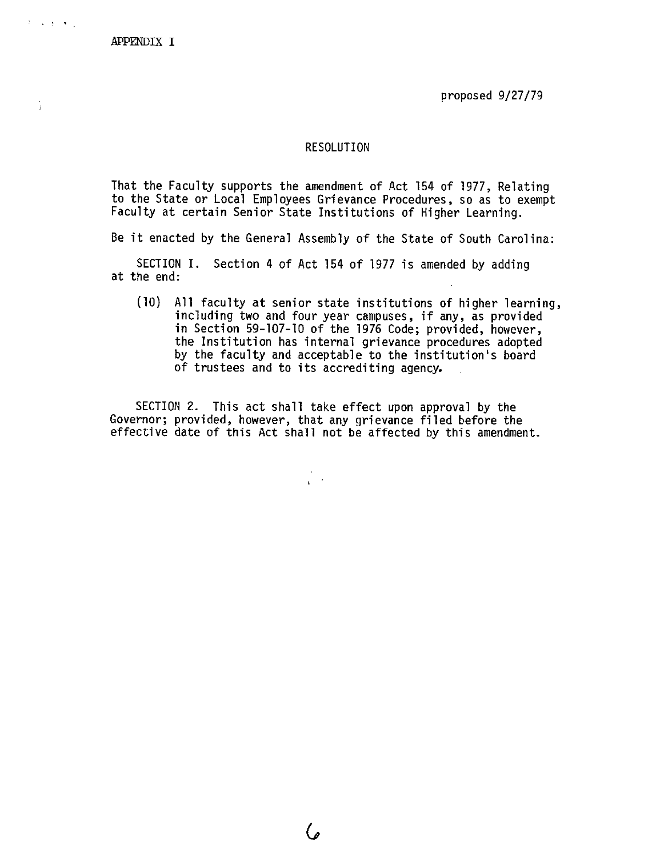APPENDIX I

 $\overline{V} = \{x \in S \mid x \in \mathbb{R}\}$ 

Ĵ.

proposed 9/27/79

## RESOLUTION

That the Faculty supports the amendment of Act 154 of 1977, Relating<br>to the State or Local Employees Grievance Procedures, so as to exempt Faculty at certain Senior State Institutions of Higher Learning.

Be it enacted by the General Assembly of the State of South Carolina:

SECTION I. Section 4 of Act 154 of 1977 is amended by adding at the end:

(10) All faculty at senior state institutions of higher learning, including two and four year campuses, if any, as provided in Section 59-107-10 of the 1976 Code; provided, however, the Institution has internal grievance procedures adopted by the faculty and acceptable to the institution's board of trustees and to its accrediting agency.

SECTION 2. This act shall take effect upon approval by the Governor; provided, however, that any grievance filed before the effective date of this Act shall not be affected by this amendment.

 $\sqrt{2}$ 

( ,